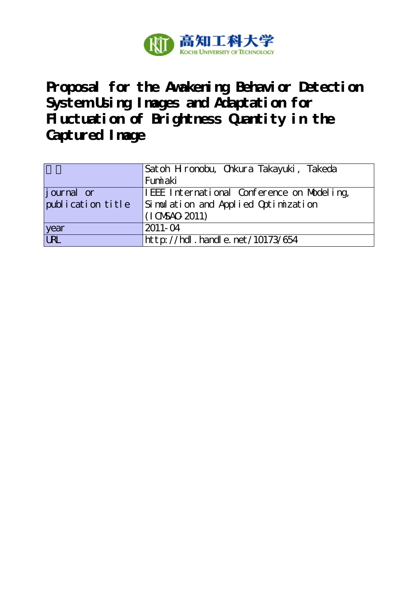

**Proposal for the Awakening Behavior Detection System Using Images and Adaptation for Fluctuation of Brightness Quantity in the Captured Image**

|                   | Satoh Hronobu, Chkura Takayuki, Takeda      |
|-------------------|---------------------------------------------|
|                   | Fumiaki                                     |
| journal or        | I EEE International Conference on Modeling, |
| publication title | Simulation and Applied Optimization         |
|                   | $(1 \text{CMSAO } 2011)$                    |
| year<br>URL       | $2011 - 04$                                 |
|                   | http://hdl.handle.net/10173/654             |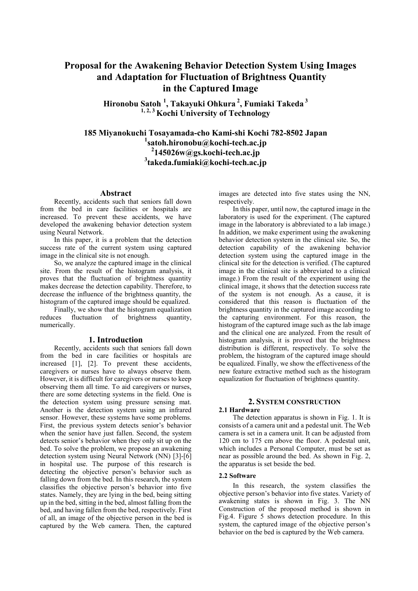# **Proposal for the Awakening Behavior Detection System Using Images and Adaptation for Fluctuation of Brightness Quantity in the Captured Image**

**Hironobu Satoh <sup>1</sup> , Takayuki Ohkura <sup>2</sup> , Fumiaki Takeda <sup>3</sup> 1, 2, <sup>3</sup> Kochi University of Technology**

**185 Miyanokuchi Tosayamada-cho Kami-shi Kochi 782-8502 Japan satoh.hironobu@kochi-tech.ac.jp 145026w@gs.kochi-tech.ac.jp takeda.fumiaki@kochi-tech.ac.jp**

## **Abstract**

Recently, accidents such that seniors fall down from the bed in care facilities or hospitals are increased. To prevent these accidents, we have developed the awakening behavior detection system using Neural Network.

In this paper, it is a problem that the detection success rate of the current system using captured image in the clinical site is not enough.

So, we analyze the captured image in the clinical site. From the result of the histogram analysis, it proves that the fluctuation of brightness quantity makes decrease the detection capability. Therefore, to decrease the influence of the brightness quantity, the histogram of the captured image should be equalized.

Finally, we show that the histogram equalization reduces fluctuation of brightness quantity, numerically.

#### **1. Introduction**

Recently, accidents such that seniors fall down from the bed in care facilities or hospitals are increased [1], [2]. To prevent these accidents, caregivers or nurses have to always observe them. However, it is difficult for caregivers or nurses to keep observing them all time. To aid caregivers or nurses, there are some detecting systems in the field. One is the detection system using pressure sensing mat. Another is the detection system using an infrared sensor. However, these systems have some problems. First, the previous system detects senior's behavior when the senior have just fallen. Second, the system detects senior's behavior when they only sit up on the bed. To solve the problem, we propose an awakening detection system using Neural Network (NN) [3]-[6] in hospital use. The purpose of this research is detecting the objective person's behavior such as falling down from the bed. In this research, the system classifies the objective person's behavior into five states. Namely, they are lying in the bed, being sitting up in the bed, sitting in the bed, almost falling from the bed, and having fallen from the bed, respectively. First of all, an image of the objective person in the bed is captured by the Web camera. Then, the captured images are detected into five states using the NN, respectively.

In this paper, until now, the captured image in the laboratory is used for the experiment. (The captured image in the laboratory is abbreviated to a lab image.) In addition, we make experiment using the awakening behavior detection system in the clinical site. So, the detection capability of the awakening behavior detection system using the captured image in the clinical site for the detection is verified. (The captured image in the clinical site is abbreviated to a clinical image.) From the result of the experiment using the clinical image, it shows that the detection success rate of the system is not enough. As a cause, it is considered that this reason is fluctuation of the brightness quantity in the captured image according to the capturing environment. For this reason, the histogram of the captured image such as the lab image and the clinical one are analyzed. From the result of histogram analysis, it is proved that the brightness distribution is different, respectively. To solve the problem, the histogram of the captured image should be equalized. Finally, we show the effectiveness of the new feature extractive method such as the histogram equalization for fluctuation of brightness quantity.

# **2. SYSTEM CONSTRUCTION**

## **2.1 Hardware**

The detection apparatus is shown in Fig. 1. It is consists of a camera unit and a pedestal unit. The Web camera is set in a camera unit. It can be adjusted from 120 cm to 175 cm above the floor. A pedestal unit, which includes a Personal Computer, must be set as near as possible around the bed. As shown in Fig. 2, the apparatus is set beside the bed.

#### **2.2 Software**

In this research, the system classifies the objective person's behavior into five states. Variety of awakening states is shown in Fig. 3. The NN Construction of the proposed method is shown in Fig.4. Figure 5 shows detection procedure. In this system, the captured image of the objective person's behavior on the bed is captured by the Web camera.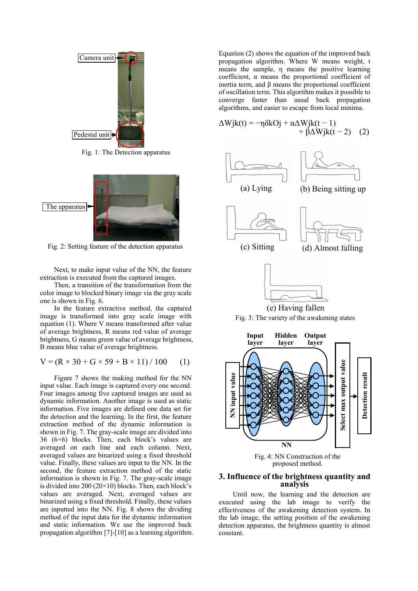

Fig. 1: The Detection apparatus



Fig. 2: Setting feature of the detection apparatus

Next, to make input value of the NN, the feature extraction is executed from the captured images.

Then, a transition of the transformation from the color image to blocked binary image via the gray scale one is shown in Fig. 6.

In the feature extractive method, the captured image is transformed into gray scale image with equation (1). Where V means transformed after value of average brightness, R means red value of average brightness, G means green value of average brightness, B means blue value of average brightness.

$$
V = (R \times 30 + G \times 59 + B \times 11) / 100 \tag{1}
$$

Figure 7 shows the making method for the NN input value. Each image is captured every one second. Four images among five captured images are used as dynamic information. Another image is used as static information. Five images are defined one data set for the detection and the learning. In the first, the feature extraction method of the dynamic information is shown in Fig. 7. The gray-scale image are divided into 36  $(6\times6)$  blocks. Then, each block's values are averaged on each line and each column. Next, averaged values are binarized using a fixed threshold value. Finally, these values are input to the NN. In the second, the feature extraction method of the static information is shown in Fig. 7. The gray-scale image is divided into 200 (20×10) blocks. Then, each block's values are averaged. Next, averaged values are binarized using a fixed threshold. Finally, these values are inputted into the NN. Fig. 8 shows the dividing method of the input data for the dynamic information and static information. We use the improved back propagation algorithm [7]-[10] as a learning algorithm. Equation (2) shows the equation of the improved back propagation algorithm. Where W means weight, t means the sample, η means the positive learning coefficient,  $\alpha$  means the proportional coefficient of inertia term, and β means the proportional coefficient of oscillation term. This algorithm makes it possible to converge faster than usual back propagation algorithms, and easier to escape from local minima.

$$
\Delta Wjk(t) = -\eta \delta kOj + \alpha \Delta Wjk(t-1) + \beta \Delta Wjk(t-2)
$$
 (2)



(c) Sitting (d) Almost falling



Fig. 3: The variety of the awakening states (e) Having fallen





## **3. Influence of the brightness quantity and analysis**

Until now, the learning and the detection are executed using the lab image to verify the effectiveness of the awakening detection system. In the lab image, the setting position of the awakening detection apparatus, the brightness quantity is almost constant.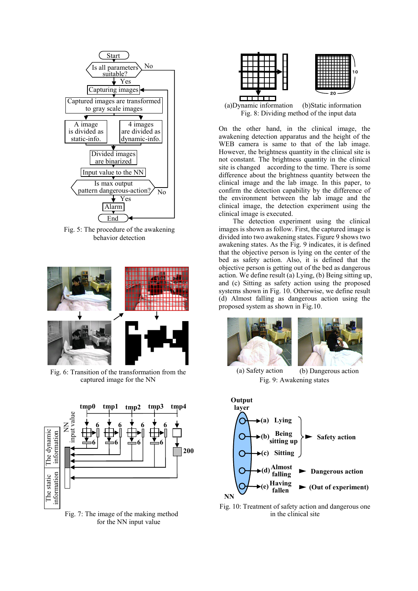

Fig. 5: The procedure of the awakening behavior detection



Fig. 6: Transition of the transformation from the captured image for the NN



Fig. 7: The image of the making method for the NN input value



Fig. 8: Dividing method of the input data

On the other hand, in the clinical image, the awakening detection apparatus and the height of the WEB camera is same to that of the lab image. However, the brightness quantity in the clinical site is not constant. The brightness quantity in the clinical site is changed according to the time. There is some difference about the brightness quantity between the clinical image and the lab image. In this paper, to confirm the detection capability by the difference of the environment between the lab image and the clinical image, the detection experiment using the clinical image is executed.

The detection experiment using the clinical images is shown as follow. First, the captured image is divided into two awakening states. Figure 9 shows two awakening states. As the Fig. 9 indicates, it is defined that the objective person is lying on the center of the bed as safety action. Also, it is defined that the objective person is getting out of the bed as dangerous action. We define result (a) Lying, (b) Being sitting up, and (c) Sitting as safety action using the proposed systems shown in Fig. 10. Otherwise, we define result (d) Almost falling as dangerous action using the proposed system as shown in Fig.10.



(b) Dangerous action Fig. 9: Awakening states (a) Safety action



Fig. 10: Treatment of safety action and dangerous one in the clinical site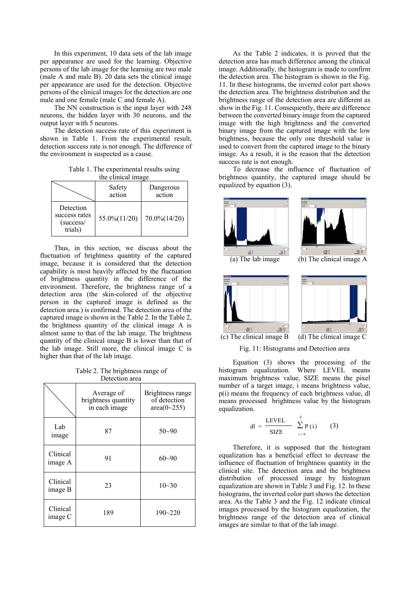In this experiment, 10 data sets of the lab image per appearance are used for the learning. Objective persons of the lab image for the learning are two male (male A and male B). 20 data sets the clinical image per appearance are used for the detection. Objective persons of the clinical images for the detection are one male and one female (male C and female A).

The NN construction is the input layer with 248 neurons, the hidden layer with 30 neurons, and the output layer with 5 neurons.

The detection success rate of this experiment is shown in Table 1. From the experimental result, detection success rate is not enough. The difference of the environment is suspected as a cause.

Table 1. The experimental results using the clinical image

|                                                    | Safety<br>action | Dangerous<br>action |
|----------------------------------------------------|------------------|---------------------|
| Detection<br>success rates<br>(success/<br>trials) | 55.0% (11/20)    | 70.0% (14/20)       |

Thus, in this section, we discuss about the fluctuation of brightness quantity of the captured image, because it is considered that the detection capability is most heavily affected by the fluctuation of brightness quantity in the difference of the environment. Therefore, the brightness range of a detection area (the skin-colored of the objective person in the captured image is defined as the detection area.) is confirmed. The detection area of the captured image is shown in the Table 2. In the Table 2, the brightness quantity of the clinical image A is almost same to that of the lab image. The brightness quantity of the clinical image B is lower than that of the lab image. Still more, the clinical image C is higher than that of the lab image.

Table 2. The brightness range of Detection area

|                     | Average of<br>brightness quantity<br>in each image | Brightness range<br>of detection<br>$area(0 - 255)$ |
|---------------------|----------------------------------------------------|-----------------------------------------------------|
| Lab<br>image        | 87                                                 | $50 - 90$                                           |
| Clinical<br>image A | 91                                                 | $60 - 90$                                           |
| Clinical<br>image B | 23                                                 | $10 - 30$                                           |
| Clinical<br>image C | 189                                                | $190 - 220$                                         |

As the Table 2 indicates, it is proved that the detection area has much difference among the clinical image. Additionally, the histogram is made to confirm the detection area. The histogram is shown in the Fig. 11. In these histograms, the inverted color part shows the detection area. The brightness distribution and the brightness range of the detection area are different as show in the Fig. 11. Consequently, there are difference between the converted binary image from the captured image with the high brightness and the converted binary image from the captured image with the low brightness, because the only one threshold value is used to convert from the captured image to the binary image. As a result, it is the reason that the detection success rate is not enough.

To decrease the influence of fluctuation of brightness quantity, the captured image should be equalized by equation (3).





(a) The lab image (b) The clinical image  $\overline{A}$ 





Fig. 11: Histograms and Detection area

Equation (3) shows the processing of the histogram equalization. Where LEVEL means maximum brightness value, SIZE means the pixel number of a target image, i means brightness value, p(i) means the frequency of each brightness value, dl means processed brightness value by the histogram equalization.

$$
dl = \frac{LEVEL}{SIZE} \sum_{i=0}^{d} P(i) \qquad (3)
$$

Therefore, it is supposed that the histogram equalization has a beneficial effect to decrease the influence of fluctuation of brightness quantity in the clinical site. The detection area and the brightness distribution of processed image by histogram equalization are shown in Table 3 and Fig. 12. In these histograms, the inverted color part shows the detection area. As the Table 3 and the Fig. 12 indicate clinical images processed by the histogram equalization, the brightness range of the detection area of clinical images are similar to that of the lab image.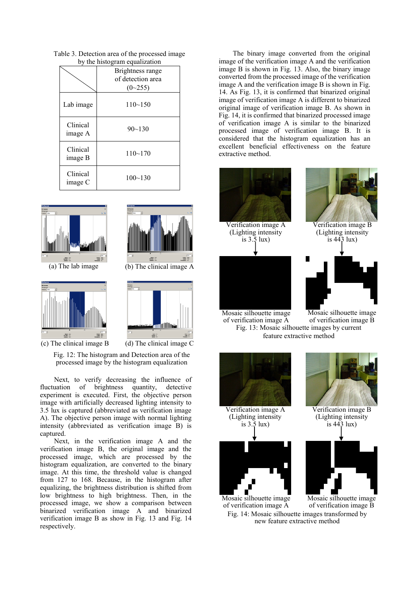| $\sigma$ ) the motogram equanzation |                                       |  |
|-------------------------------------|---------------------------------------|--|
|                                     | Brightness range<br>of detection area |  |
|                                     | $(0-255)$                             |  |
| Lab image                           | $110 - 150$                           |  |
| Clinical<br>image A                 | $90 - 130$                            |  |
| Clinical<br>image B                 | $110 - 170$                           |  |
| Clinical<br>image C                 | $100 - 130$                           |  |

Table 3. Detection area of the processed image by the histogram equalization





(a) The lab image (b) The clinical image A





(c) The clinical image  $B$  (d) The clinical image C

Fig. 12: The histogram and Detection area of the processed image by the histogram equalization

Next, to verify decreasing the influence of fluctuation of brightness quantity, detective experiment is executed. First, the objective person image with artificially decreased lighting intensity to 3.5 lux is captured (abbreviated as verification image A). The objective person image with normal lighting intensity (abbreviated as verification image B) is captured.

Next, in the verification image A and the verification image B, the original image and the processed image, which are processed by the histogram equalization, are converted to the binary image. At this time, the threshold value is changed from 127 to 168. Because, in the histogram after equalizing, the brightness distribution is shifted from low brightness to high brightness. Then, in the processed image, we show a comparison between binarized verification image A and binarized verification image B as show in Fig. 13 and Fig. 14 respectively.

The binary image converted from the original image of the verification image A and the verification image B is shown in Fig. 13. Also, the binary image converted from the processed image of the verification image A and the verification image B is shown in Fig. 14. As Fig. 13, it is confirmed that binarized original image of verification image A is different to binarized original image of verification image B. As shown in Fig. 14, it is confirmed that binarized processed image of verification image A is similar to the binarized processed image of verification image B. It is considered that the histogram equalization has an excellent beneficial effectiveness on the feature extractive method.







Mosaic silhouette image of verification image A Mosaic silhouette image of verification image B Fig. 13: Mosaic silhouette images by current feature extractive method

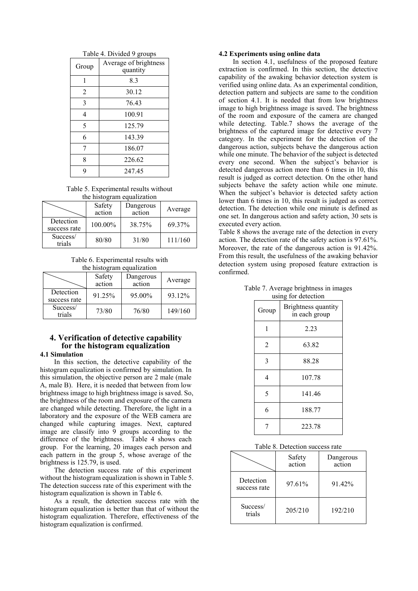| Table 4. Divided 9 groups |                                   |  |
|---------------------------|-----------------------------------|--|
| Group                     | Average of brightness<br>quantity |  |
| 1                         | 8.3                               |  |
| $\overline{2}$            | 30.12                             |  |
| 3                         | 76.43                             |  |
| 4                         | 100.91                            |  |
| 5                         | 125.79                            |  |
| 6                         | 143.39                            |  |
| 7                         | 186.07                            |  |
| 8                         | 226.62                            |  |
| 9                         | 247.45                            |  |

Table 5. Experimental results without the histogram equalization

| the motogram equanzation  |                  |                     |         |
|---------------------------|------------------|---------------------|---------|
|                           | Safety<br>action | Dangerous<br>action | Average |
| Detection<br>success rate | 100.00%          | 38.75%              | 69.37%  |
| Success/<br>trials        | 80/80            | 31/80               | 111/160 |

Table 6. Experimental results with the histogram equalization

|                           | Safety<br>action | Dangerous<br>action | Average |
|---------------------------|------------------|---------------------|---------|
| Detection<br>success rate | 91.25%           | 95.00%              | 93.12%  |
| Success/<br>trials        | 73/80            | 76/80               | 149/160 |

## **4. Verification of detective capability for the histogram equalization 4.1 Simulation**

In this section, the detective capability of the histogram equalization is confirmed by simulation. In this simulation, the objective person are 2 male (male A, male B). Here, it is needed that between from low brightness image to high brightness image is saved. So, the brightness of the room and exposure of the camera are changed while detecting. Therefore, the light in a laboratory and the exposure of the WEB camera are changed while capturing images. Next, captured image are classify into 9 groups according to the difference of the brightness. Table 4 shows each group. For the learning, 20 images each person and each pattern in the group 5, whose average of the brightness is 125.79, is used.

The detection success rate of this experiment without the histogram equalization is shown in Table 5. The detection success rate of this experiment with the histogram equalization is shown in Table 6.

As a result, the detection success rate with the histogram equalization is better than that of without the histogram equalization. Therefore, effectiveness of the histogram equalization is confirmed.

### **4.2 Experiments using online data**

In section 4.1, usefulness of the proposed feature extraction is confirmed. In this section, the detective capability of the awaking behavior detection system is verified using online data. As an experimental condition, detection pattern and subjects are same to the condition of section 4.1. It is needed that from low brightness image to high brightness image is saved. The brightness of the room and exposure of the camera are changed while detecting. Table.7 shows the average of the brightness of the captured image for detective every 7 category. In the experiment for the detection of the dangerous action, subjects behave the dangerous action while one minute. The behavior of the subject is detected every one second. When the subject's behavior is detected dangerous action more than 6 times in 10, this result is judged as correct detection. On the other hand subjects behave the safety action while one minute. When the subject's behavior is detected safety action lower than 6 times in 10, this result is judged as correct detection. The detection while one minute is defined as one set. In dangerous action and safety action, 30 sets is executed every action.

Table 8 shows the average rate of the detection in every action. The detection rate of the safety action is 97.61%. Moreover, the rate of the dangerous action is 91.42%. From this result, the usefulness of the awaking behavior detection system using proposed feature extraction is confirmed.

|  | Table 7. Average brightness in images |  |
|--|---------------------------------------|--|
|  | using for detection                   |  |

| asing for actection |                                      |  |
|---------------------|--------------------------------------|--|
| Group               | Brightness quantity<br>in each group |  |
| 1                   | 2.23                                 |  |
| $\overline{c}$      | 63.82                                |  |
| $\overline{3}$      | 88.28                                |  |
| 4                   | 107.78                               |  |
| 5                   | 141.46                               |  |
| 6                   | 188.77                               |  |
|                     | 223.78                               |  |

|  | Table 8. Detection success rate |  |  |
|--|---------------------------------|--|--|
|--|---------------------------------|--|--|

|                           | Safety<br>action | Dangerous<br>action |
|---------------------------|------------------|---------------------|
| Detection<br>success rate | 97.61%           | 91.42%              |
| Success/<br>trials        | 205/210          | 192/210             |